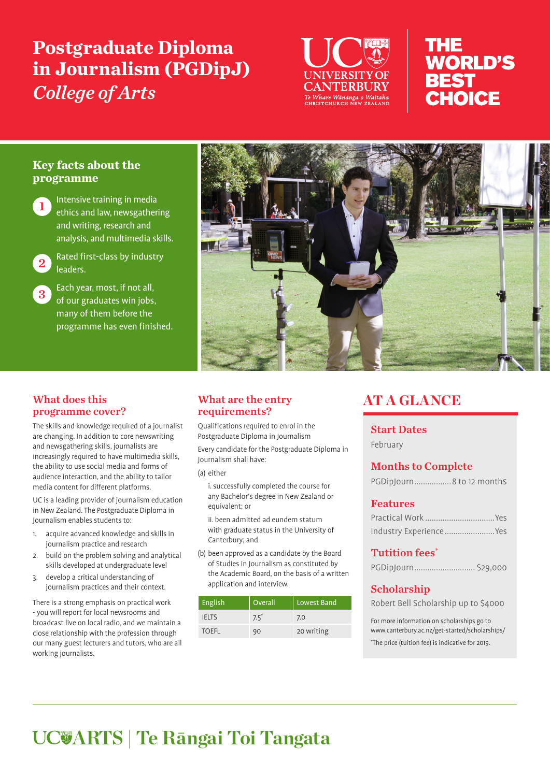# **Postgraduate Diploma in Journalism (PGDipJ)**  *College of Arts*



## THE **WORLD'S BEST** CHOICE

#### **Key facts about the programme**

Intensive training in media ethics and law, newsgathering and writing, research and analysis, and multimedia skills.



2 Rated first-class by industry leaders.

 $3<sup>2</sup>$  Each year, most, if not all, of our graduates win jobs, many of them before the programme has even finished.

#### What does this programme cover?

The skills and knowledge required of a journalist are changing. In addition to core newswriting and newsgathering skills, journalists are increasingly required to have multimedia skills, the ability to use social media and forms of audience interaction, and the ability to tailor media content for different platforms.

UC is a leading provider of journalism education in New Zealand. The Postgraduate Diploma in Journalism enables students to:

- 1. acquire advanced knowledge and skills in journalism practice and research
- 2. build on the problem solving and analytical skills developed at undergraduate level
- 3. develop a critical understanding of journalism practices and their context.

There is a strong emphasis on practical work - you will report for local newsrooms and broadcast live on local radio, and we maintain a close relationship with the profession through our many guest lecturers and tutors, who are all working journalists.



#### What are the entry requirements?

Qualifications required to enrol in the Postgraduate Diploma in Journalism

Every candidate for the Postgraduate Diploma in Journalism shall have:

(a) either

i. successfully completed the course for any Bachelor's degree in New Zealand or equivalent; or

ii. been admitted ad eundem statum with graduate status in the University of Canterbury; and

(b) been approved as a candidate by the Board of Studies in Journalism as constituted by the Academic Board, on the basis of a written application and interview.

| English      | Overall | Lowest Band |
|--------------|---------|-------------|
| <b>IFITS</b> | $7.5^*$ | 7.0         |
| <b>TOEFL</b> | 90      | 20 writing  |

## **AT A GLANCE**

Start Dates

February

### Months to Complete

PGDipJourn.................8 to 12 months

#### Features

| Industry ExperienceYes |
|------------------------|

#### Tutition fees\*

| PGDipJourn \$29,000 |  |
|---------------------|--|
|---------------------|--|

### Scholarship

Robert Bell Scholarship up to \$4000

For more information on scholarships go to www.canterbury.ac.nz/get-started/scholarships/ \* The price (tuition fee) is indicative for 2019.

# **ARTS | Te Rāngai Toi Tangata**